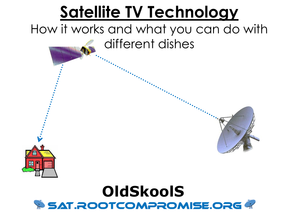# **Satellite TV Technology**

How it works and what you can do with different dishes



## **OldSkoolS**SAT.ROOTCOMPROMISE.ORG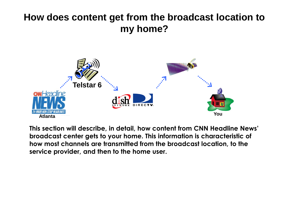## **How does content get from the broadcast location to my home?**



**This section will describe, in detail, how content from CNN Headline News' broadcast center gets to your home. This information is characteristic of how most channels are transmitted from the broadcast location, to the service provider, and then to the home user.**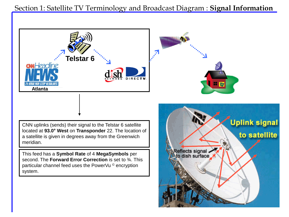Section 1: Satellite TV Terminology and Broadcast Diagram : **Signal Information**



system.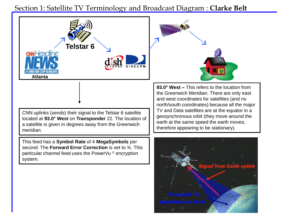Section 1: Satellite TV Terminology and Broadcast Diagram : **Clarke Belt**

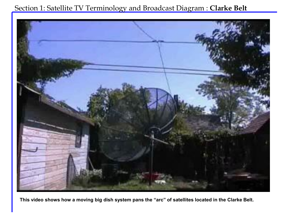#### Section 1: Satellite TV Terminology and Broadcast Diagram : **Clarke Belt**



**This video shows how a moving big dish system pans the "arc" of satellites located in the Clarke Belt.**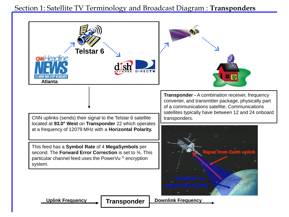Section 1: Satellite TV Terminology and Broadcast Diagram : **Transponders**

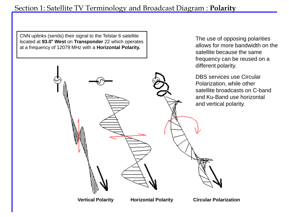#### Section 1: Satellite TV Terminology and Broadcast Diagram : **Polarity**

CNN uplinks (sends) their signal to the Telstar 6 satellite located at **93.0° West** on **Transponder** 22 which operates at a frequency of 12079 MHz with a **Horizontal Polarity.**

The use of opposing polarities allows for more bandwidth on the satellite because the same frequency can be reused on a different polarity.

DBS services use Circular Polarization, while other satellite broadcasts on C-band and Ku-Band use horizontal and vertical polarity.

**Vertical Polarity Horizontal Polarity Circular Polarization**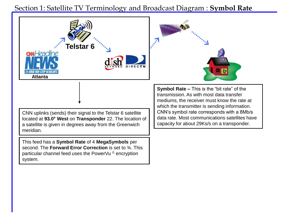Section 1: Satellite TV Terminology and Broadcast Diagram : **Symbol Rate**

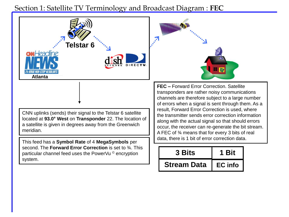Section 1: Satellite TV Terminology and Broadcast Diagram : **FEC**

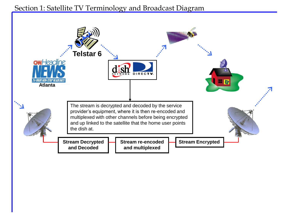#### Section 1: Satellite TV Terminology and Broadcast Diagram

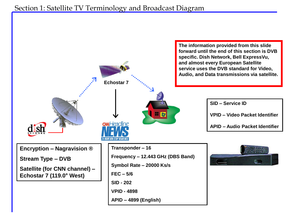#### Section 1: Satellite TV Terminology and Broadcast Diagram

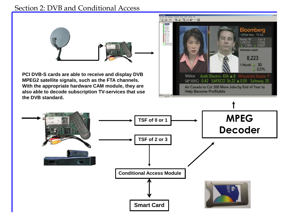#### Section 2: DVB and Conditional Access



**PCI DVB-S cards are able to receive and display DVB MPEG2 satellite signals, such as the FTA channels. With the appropriate hardware CAM module, they are also able to decode subscription TV-services that use the DVB standard.** 



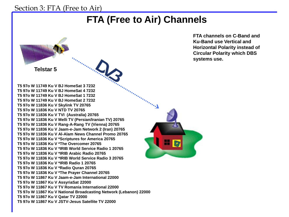#### Section 3: FTA (Free to Air)

## **FTA (Free to Air) Channels**



**FTA channels on C-Band and Ku-Band use Vertical and Horizontal Polarity instead of Circular Polarity which DBS systems use.**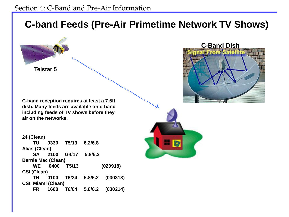## **C-band Feeds (Pre-Air Primetime Network TV Shows)**

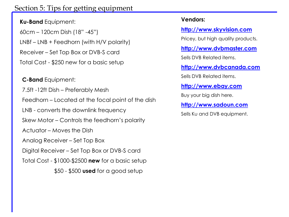#### Section 5: Tips for getting equipment

**Ku-Band** Equipment: 60cm – 120cm Dish (18" -45") LNBf – LNB + Feedhorn (with H/V polarity) Receiver – Set Top Box or DVB-S card Total Cost - \$250 new for a basic setup

**C-Band** Equipment: 7.5ft -12ft Dish – Preferably Mesh Feedhorn – Located at the focal point of the dish LNB - converts the downlink frequency Skew Motor – Controls the feedhorn's polarity Actuator – Moves the Dish Analog Receiver – Set Top Box Digital Receiver – Set Top Box or DVB-S card Total Cost - \$1000-\$2500 **new** for a basic setup \$50 - \$500 **used** for a good setup

#### **Vendors:**

**[http://www.skyvision.com](http://www.skyvision.com/)**

Pricey, but high quality products.

**[http://www.dvbmaster.com](http://www.dvbmaster.com/)**

Sells DVB Related items.

**[http://www.dvbcanada.com](http://www.dvbcanada.com/)** Sells DVB Related items.

**[http://www.ebay.com](http://www.ebay.com/)** Buy your big dish here.

**[http://www.sadoun.com](http://www.sadoun.com/)**

Sells Ku and DVB equipment.